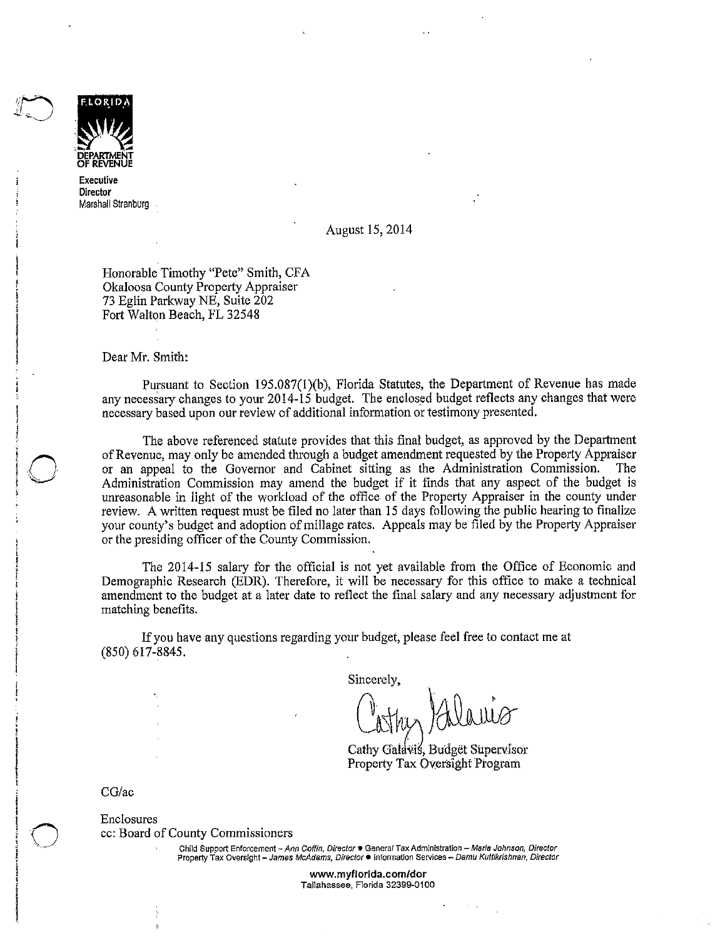

 **OF REVENUE Executive Director**  Marshall Stranburg

#### August 15, 2014

Honorable Timothy "Pete" Smith, CFA Okaloosa County Property Appraiser 73 Eglin Parkway NE, Suite 202 Fort Walton Beach, FL 32548

Dear Mr. Smith:

Pursuant to Section 195.087(1)(b), Florida Statutes, the Department of Revenue has made any necessary changes to your 2014-15 budget. The enclosed budget reflects any changes that were necessary based upon our review of additional information or testimony presented.

The above referenced statute provides that this final budget, as approved by the Department ofRevenue, may only be amended through a budget amendment requested by the Property Appraiser or an appeal to the Governor and Cabinet sitting as the Administration Commission. The Administration Commission may amend the budget if it finds that any aspect of the budget is unreasonable in light of the workload of the office of the Property Appraiser in the county under review. A written request must be filed no later than 15 days following the public hearing to finalize your county's budget and adoption of millage rates. Appeals may be filed by the Property Appraiser or the presiding officer of the County Commission.

The 2014-15 salary for the official is not yet available from the Office of Economic and Demographic Research (EDR). Therefore, it will be necessary for this office to make a technical amendment to the budget at a later date to reflect the final salary and any necessary adjustment for matching benefits.

If you have any questions regarding your budget, please feel free to contact me at (850) 617-8845.

Sincerely,

Cathy Galavis, Budget Supervisor Property Tax Oversight Program

CG/ac

 $\bigcirc$ 

Enclosures cc: Board of County Commissioners

> **Child Support Enforcement - Ann Coffin. Director• Genera/ Tax Administration - Maria Johnson, Director Property Tax Oversfght - James McAdams, Director• !nformat!on Services- Damu KuWkrishnan, Director**

> > **www.myflorida.com/dor Tallahassee, Florida 32399M0100**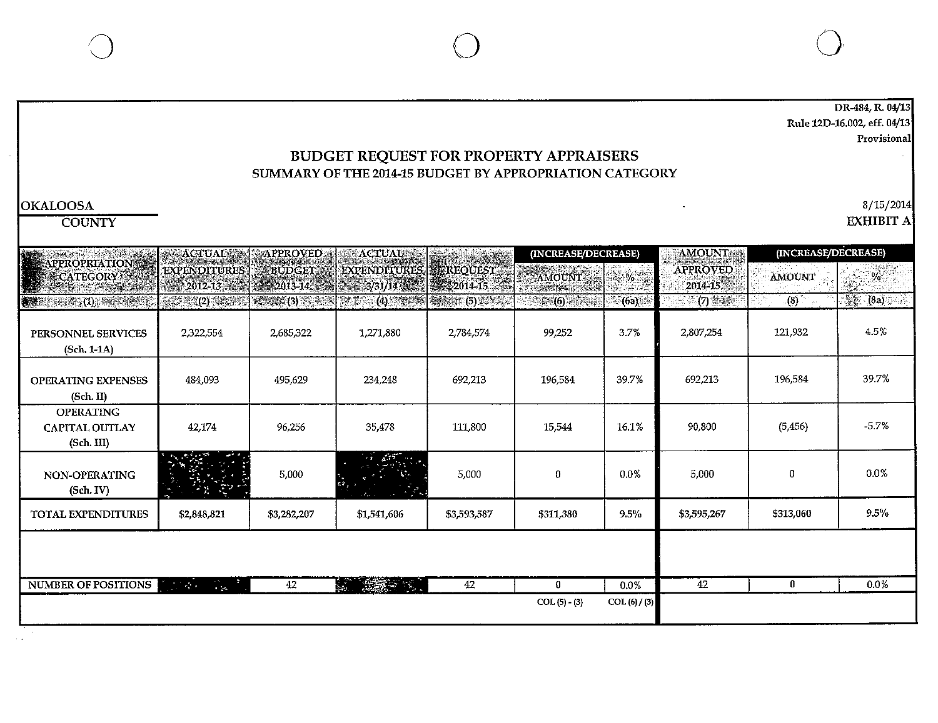DR-484, R. 04/13 Rule 12D-16.002, eff. 04/13 **Provisional** 

#### BUDGET REQUEST FOR PROPERTY APPRAISERS SUMMARY OF THE 2014-15 BUDGET BY APPROPRIATION CATEGORY

#### $\text{OKALOOSA}$  8/15/2014

COUNTY EXHIBIT A

| EXPENDITURES EREQUEST<br>2014-15<br><b>Referent (5) Marshal</b><br>2,784,574<br>692 213<br>111,800 | AMOUNT 1<br>$f_{\text{eff}}(6)$ and $f_{\text{eff}}(6)$<br>99,252<br>196,584<br>15,544 | <b>1948-06-07</b><br>(6a)<br>3.7%<br>39.7%<br>16.1% | AMOUNT<br><b>APPROVED</b><br>2014-15<br>(7)<br>2,807,254<br>692,213<br>90,800 | AMOUNT<br>$_{\circ}$ (8) $^{\circ}$<br>121,932<br>196,584<br>(5,456) | $\sim 2\sqrt{\alpha}$<br>W.<br>$-(8a)$<br>4.5%<br>39.7%<br>$-5.7%$ |
|----------------------------------------------------------------------------------------------------|----------------------------------------------------------------------------------------|-----------------------------------------------------|-------------------------------------------------------------------------------|----------------------------------------------------------------------|--------------------------------------------------------------------|
|                                                                                                    |                                                                                        |                                                     |                                                                               |                                                                      |                                                                    |
|                                                                                                    |                                                                                        |                                                     |                                                                               |                                                                      |                                                                    |
|                                                                                                    |                                                                                        |                                                     |                                                                               |                                                                      |                                                                    |
|                                                                                                    |                                                                                        |                                                     |                                                                               |                                                                      |                                                                    |
|                                                                                                    |                                                                                        |                                                     |                                                                               |                                                                      |                                                                    |
| 5,000                                                                                              | 0                                                                                      | 0.0%                                                | 5,000                                                                         | 0                                                                    | 0.0%                                                               |
| \$3,593,587                                                                                        | \$311,380                                                                              | 9.5%                                                | \$3,595,267                                                                   | 5313,060                                                             | $9.5\%$                                                            |
| 42                                                                                                 | $\bf{0}$                                                                               | 0.0%                                                | 42                                                                            | $\bf{0}$                                                             | 0.0%                                                               |
|                                                                                                    |                                                                                        | $COL(5) - (3)$                                      |                                                                               | COL(6) / (3)                                                         |                                                                    |

 $\bigcirc$  () and  $\bigcirc$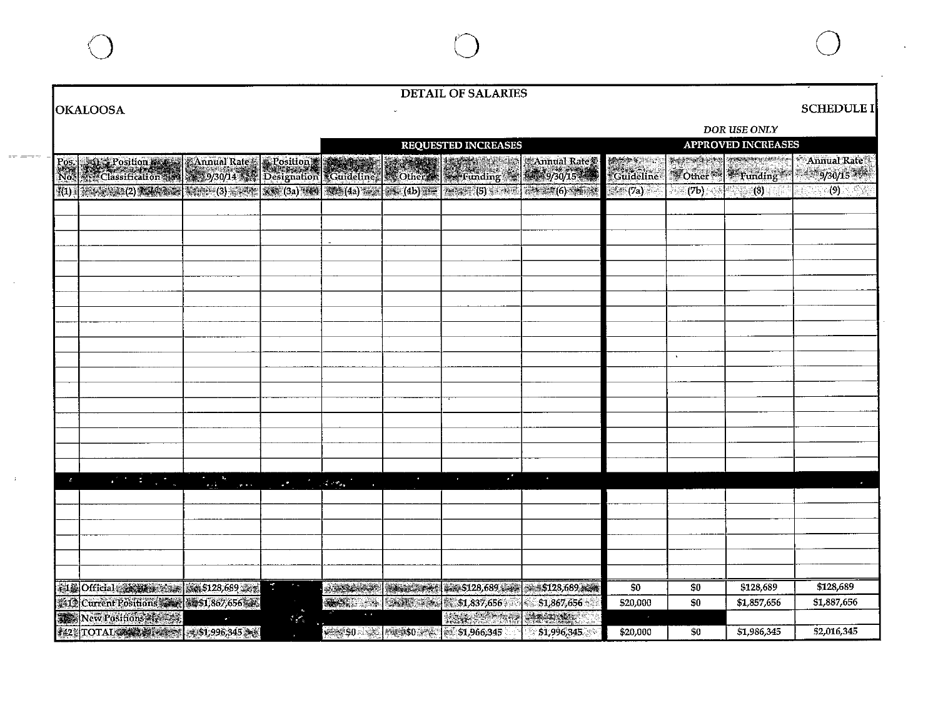|                                                                                                   |                                                                                                                                                                                                                                |                                                    |  | <b>DETAIL OF SALARIES</b>                                                                                                                                                                                                     |              |                  |                           |                                               |                        |  |
|---------------------------------------------------------------------------------------------------|--------------------------------------------------------------------------------------------------------------------------------------------------------------------------------------------------------------------------------|----------------------------------------------------|--|-------------------------------------------------------------------------------------------------------------------------------------------------------------------------------------------------------------------------------|--------------|------------------|---------------------------|-----------------------------------------------|------------------------|--|
| <b>OKALOOSA</b>                                                                                   |                                                                                                                                                                                                                                |                                                    |  |                                                                                                                                                                                                                               |              |                  |                           |                                               | <b>SCHEDULE I</b>      |  |
|                                                                                                   |                                                                                                                                                                                                                                |                                                    |  |                                                                                                                                                                                                                               |              |                  |                           | DOR USE ONLY                                  |                        |  |
|                                                                                                   |                                                                                                                                                                                                                                |                                                    |  | <b>REQUESTED INCREASES</b>                                                                                                                                                                                                    |              |                  | <b>APPROVED INCREASES</b> |                                               |                        |  |
| Post Position & Annual Rate & Position & Canadian & Content & Chernel & Annual Rate & No. 1, 2007 |                                                                                                                                                                                                                                |                                                    |  |                                                                                                                                                                                                                               |              | <b>Scudeline</b> |                           | Septembrish was the contract<br>Other Funding | Annual Rate<br>9/30/15 |  |
| (1) 接触题 (2) 编码题 将命 (3) 字 (3) 字 (3a) (4a) 字 (4a) 字 (4b) 字 (5) 字 (5) 字 (6) 字 (6) 字 (6)              |                                                                                                                                                                                                                                |                                                    |  |                                                                                                                                                                                                                               |              | $\sqrt{7a}$      |                           | $(7b)$ and $(8)$ and $(8)$                    | <u>ැ9) ලැබ</u>         |  |
|                                                                                                   |                                                                                                                                                                                                                                |                                                    |  |                                                                                                                                                                                                                               |              |                  |                           |                                               |                        |  |
|                                                                                                   |                                                                                                                                                                                                                                |                                                    |  |                                                                                                                                                                                                                               |              |                  |                           |                                               |                        |  |
|                                                                                                   |                                                                                                                                                                                                                                |                                                    |  |                                                                                                                                                                                                                               |              |                  |                           |                                               |                        |  |
|                                                                                                   |                                                                                                                                                                                                                                |                                                    |  |                                                                                                                                                                                                                               |              |                  |                           |                                               |                        |  |
|                                                                                                   |                                                                                                                                                                                                                                |                                                    |  |                                                                                                                                                                                                                               |              |                  |                           |                                               |                        |  |
|                                                                                                   |                                                                                                                                                                                                                                |                                                    |  |                                                                                                                                                                                                                               |              |                  |                           |                                               |                        |  |
|                                                                                                   |                                                                                                                                                                                                                                |                                                    |  |                                                                                                                                                                                                                               |              |                  |                           |                                               |                        |  |
|                                                                                                   |                                                                                                                                                                                                                                |                                                    |  |                                                                                                                                                                                                                               |              |                  |                           |                                               |                        |  |
|                                                                                                   |                                                                                                                                                                                                                                |                                                    |  |                                                                                                                                                                                                                               |              |                  | $\Delta$                  |                                               |                        |  |
|                                                                                                   |                                                                                                                                                                                                                                |                                                    |  |                                                                                                                                                                                                                               |              |                  |                           |                                               |                        |  |
|                                                                                                   |                                                                                                                                                                                                                                |                                                    |  |                                                                                                                                                                                                                               |              |                  |                           |                                               |                        |  |
|                                                                                                   |                                                                                                                                                                                                                                |                                                    |  |                                                                                                                                                                                                                               |              |                  |                           |                                               |                        |  |
|                                                                                                   |                                                                                                                                                                                                                                |                                                    |  |                                                                                                                                                                                                                               |              |                  |                           |                                               |                        |  |
|                                                                                                   |                                                                                                                                                                                                                                |                                                    |  |                                                                                                                                                                                                                               |              |                  |                           |                                               |                        |  |
|                                                                                                   |                                                                                                                                                                                                                                |                                                    |  | . .                                                                                                                                                                                                                           | $\bullet$    |                  |                           |                                               |                        |  |
|                                                                                                   | and the company of the company of the company of the company of the company of the company of the company of the company of the company of the company of the company of the company of the company of the company of the comp |                                                    |  | $\mathbf{r}$                                                                                                                                                                                                                  |              |                  |                           |                                               | $\mathbf{z}$           |  |
|                                                                                                   |                                                                                                                                                                                                                                |                                                    |  |                                                                                                                                                                                                                               |              |                  |                           |                                               |                        |  |
|                                                                                                   |                                                                                                                                                                                                                                |                                                    |  |                                                                                                                                                                                                                               |              |                  |                           |                                               |                        |  |
|                                                                                                   |                                                                                                                                                                                                                                |                                                    |  |                                                                                                                                                                                                                               |              |                  |                           |                                               |                        |  |
|                                                                                                   |                                                                                                                                                                                                                                |                                                    |  |                                                                                                                                                                                                                               |              |                  |                           |                                               |                        |  |
| 第12 Official # 19 West # 3 - 3 4 5128,689 # 15                                                    |                                                                                                                                                                                                                                | $\theta_{\rm{max}}$<br>$\mathcal{L}_{\mathcal{A}}$ |  | STARS (200 1 128 128,689 22 1 5128,689 22 1 3 6 1 2 3 1 2 3 1 2 3 1 2 3 1 2 3 1 2 3 1 2 3 1 2 3 1 2 3 1 2 3 1 2 3 1 2 3 1 2 3 1 2 3 1 2 3 1 2 3 1 2 3 1 2 3 1 2 3 1 2 3 1 2 3 1 2 3 1 2 3 1 2 3 1 2 3 1 2 3 1 2 3 1 2 3 1 2 3 |              | \$0              | \$0                       | \$128,689                                     | \$128,689              |  |
| 1412 Current Positions 2228 35 17867, 656                                                         |                                                                                                                                                                                                                                |                                                    |  | <b>ANSES FRAME REAL PRODUCTS</b>                                                                                                                                                                                              | \$1,867,656  | \$20,000         | \$0                       | \$1,857,656                                   | \$1,887,656            |  |
| New Positions 2007                                                                                | $\bullet$ .                                                                                                                                                                                                                    | $\mathcal{L}_{\text{eff}}$                         |  | <b>TAX STORIES</b>                                                                                                                                                                                                            | <b>AMANA</b> |                  |                           |                                               |                        |  |
| 242 TOTAL 2 2 2 2 2 2 3 3 3 9 3 4 5 2 3 2 3                                                       |                                                                                                                                                                                                                                | $\mathbf{r}$                                       |  | $\frac{1}{2}$ \$0 $\frac{1}{2}$ \$0 $\frac{1}{2}$ \$1,966,345                                                                                                                                                                 | 51,996,345   | \$20,000         | \$0                       | \$1,986,345                                   | \$2,016,345            |  |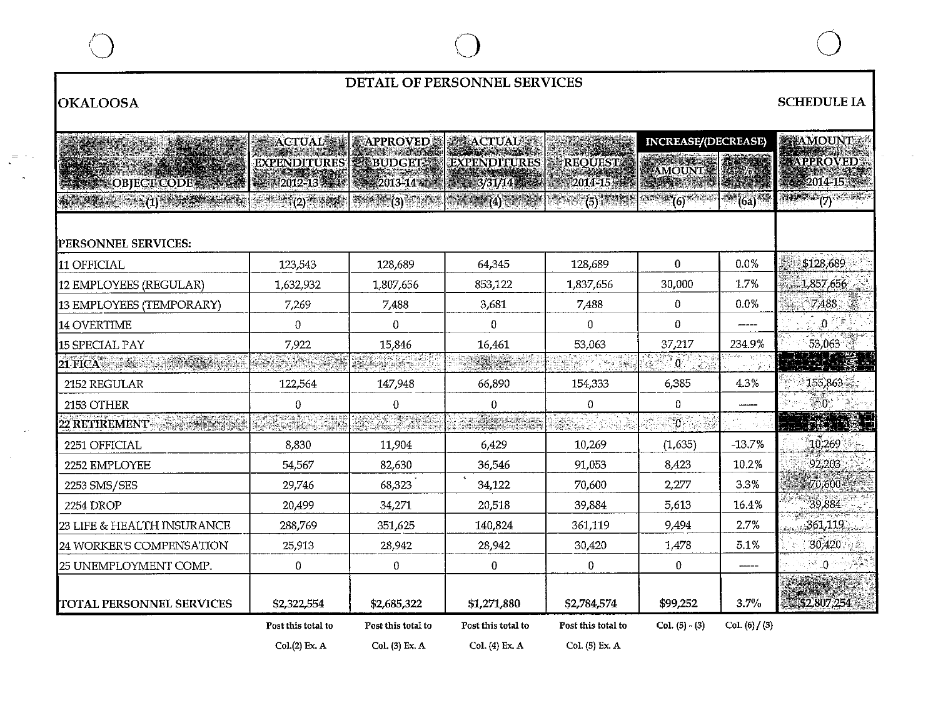## **DETAIL OF PERSONNEL SERVICES**

# **OKALOOSA** SCHEDULE IA

 $\sim 10^7$ 

|                                       | $\rm_{ACTUAL}$                                                   | <b>EAPPROVED</b>                                                    | <b><i>PACTUAL</i></b>                                 |                            | <b>INCREASE/(DECREASE)</b> |                  | <b>ETAMOUNT</b>               |
|---------------------------------------|------------------------------------------------------------------|---------------------------------------------------------------------|-------------------------------------------------------|----------------------------|----------------------------|------------------|-------------------------------|
|                                       | <b>EXPENDITURES   &lt;<r budget=""></r></b>                      |                                                                     | <b>EXPENDITURES</b>                                   | <b>REQUEST!</b>            | FAMOUNT                    |                  | APPROVED                      |
| <b>SASE OBJECTICODE SERVICE</b>       |                                                                  | 12012-13 223 3 2013-14 2013                                         | 899 3/31/14 3888                                      | $2014 - 15 + 2$            |                            |                  | 2014-15                       |
| $\frac{1}{2}$ (1) $\frac{1}{2}$       | $\mathbb{R}^3$ $\mathbb{R}^2 \setminus \{2\}$ and $\mathbb{R}^3$ | $\frac{1}{2}$ and $\frac{1}{2}$ (3) $\frac{1}{2}$ and $\frac{1}{2}$ | $\mathbb{Z}^n \to \mathbb{Z}^n(4)$ for $\mathbb{Z}^n$ | $(5)$ . The $\mathbb{R}^3$ | $(6)$ and $(6)$            | <b>1999</b> (6a) | (7)                           |
|                                       |                                                                  |                                                                     |                                                       |                            |                            |                  |                               |
| PERSONNEL SERVICES:                   |                                                                  |                                                                     |                                                       |                            |                            |                  |                               |
| 11 OFFICIAL                           | 123,543                                                          | 128,689                                                             | 64,345                                                | 128,689                    | $\Omega$                   | 0.0%             | \$128,689                     |
| 12 EMPLOYEES (REGULAR)                | 1,632,932                                                        | 1,807,656                                                           | 853,122                                               | 1,837,656                  | 30,000                     | 1.7%             | $-1,857,656$                  |
| 13 EMPLOYEES (TEMPORARY)              | 7,269                                                            | 7,488                                                               | 3,681                                                 | 7,488                      | $\mathbf{0}$               | $0.0\%$          | 7,488                         |
| 14 OVERTIME                           | $\Omega$                                                         | 0                                                                   | 0                                                     | 0.                         | 0                          |                  | $\ 0\ $                       |
| 15 SPECIAL PAY                        | 7,922                                                            | 15,846                                                              | 16.461                                                | 53,063                     | 37,217                     | 234.9%           | 53,063                        |
| 21 FICA                               |                                                                  | n yang di                                                           | er i i                                                |                            | $\mathbb{R}^{N \times 0}$  |                  |                               |
| 2152 REGULAR                          | 122,564                                                          | 147,948                                                             | 66,890                                                | 154,333                    | 6,385                      | 4.3%             | 155,863                       |
| 2153 OTHER                            | 0                                                                | 0                                                                   | 0                                                     | $\mathbf 0$                | 0                          |                  | < 0                           |
| 22 RETIREMENT –<br>e de la primera de | <u> Parang</u>                                                   | <b>SALARE</b>                                                       | <b>ASSIST</b>                                         |                            | $\overline{\mathfrak{o}}$  |                  |                               |
| 2251 OFFICIAL                         | 8,830                                                            | 11,904                                                              | 6,429                                                 | 10,269                     | (1, 635)                   | $-13.7%$         | 10,269                        |
| 2252 EMPLOYEE                         | 54,567                                                           | 82,630                                                              | 36,546                                                | 91,053                     | 8,423                      | 10.2%            | 92,203                        |
| 2253 SMS/SES                          | 29,746                                                           | 68,323                                                              | 34,122                                                | 70,600                     | 2,277                      | 3.3%             | 70,600                        |
| <b>2254 DROP</b>                      | 20,499                                                           | 34,271                                                              | 20,518                                                | 39,884                     | 5,613                      | 16.4%            | 39,884                        |
| 23 LIFE & HEALTH INSURANCE            | 288,769                                                          | 351,625                                                             | 140,824                                               | 361,119                    | 9,494                      | 2.7%             | 361,119                       |
| 24 WORKER'S COMPENSATION              | 25,913                                                           | 28,942                                                              | 28,942                                                | 30,420                     | 1,478                      | 5.1%             | 30,420                        |
| 25 UNEMPLOYMENT COMP.                 | $\mathbf 0$                                                      | 0                                                                   | 0                                                     | $\mathbf{0}$               | $\mathbf{0}$               |                  | $\mathbb{R}^3$ $\mathbb{Q}$ : |
|                                       |                                                                  |                                                                     |                                                       |                            |                            |                  |                               |
| TOTAL PERSONNEL SERVICES              | \$2,322,554                                                      | \$2,685,322                                                         | \$1,271,880                                           | \$2,784,574                | \$99,252                   | 3.7%             | \$2,807,254                   |
|                                       | Post this total to                                               | Post this total to                                                  | Post this total to                                    | Post this total to         | $Col. (5) - (3)$           | Col. (6) / (3)   |                               |
|                                       | Col.(2) Ex. A                                                    | Col. (3) Ex. A                                                      | Col. (4) Ex. A                                        | Col. (5) Ex. A             |                            |                  |                               |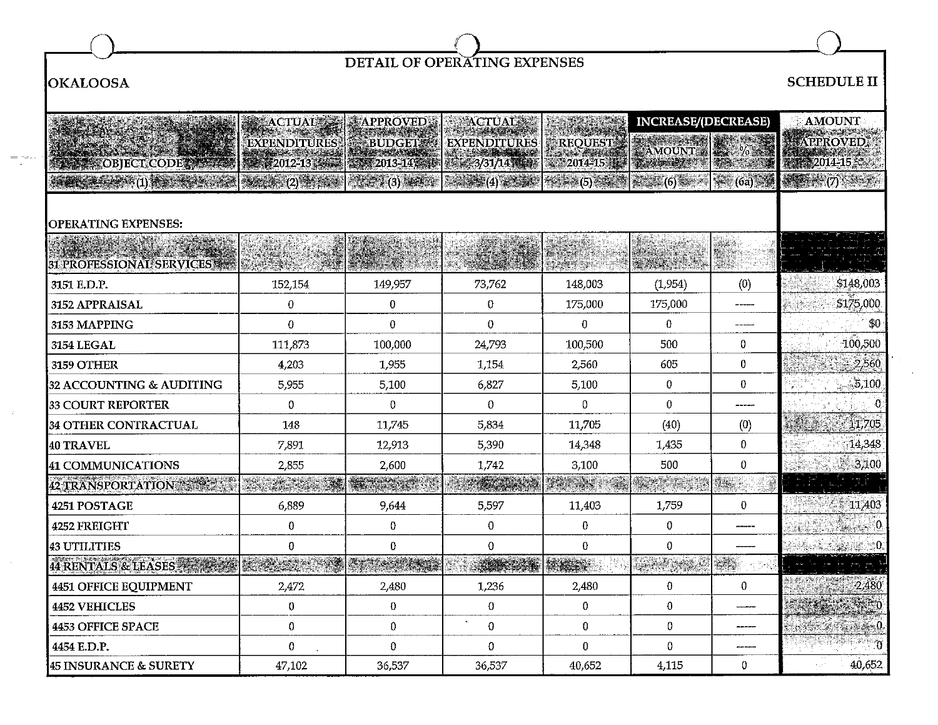

## **OKALOOSA SCHEDULE** II

 $=$  new  $\sim$ 

 $\sim 10^{-1}$ 

|                                     | <b>ACTUAL SE</b>                         | <b>APPROVED</b> | <b>ACTUALS:</b>                                                                                                                                                                                                                                                                                                     |                     | <b>INCREASE/(DECREASE)</b> |           | <b>AMOUNT</b>                                   |
|-------------------------------------|------------------------------------------|-----------------|---------------------------------------------------------------------------------------------------------------------------------------------------------------------------------------------------------------------------------------------------------------------------------------------------------------------|---------------------|----------------------------|-----------|-------------------------------------------------|
|                                     | EXPENDITURES                             | BUDGET          | <b>EXPENDITURES</b>                                                                                                                                                                                                                                                                                                 | <b>REQUESTE</b>     |                            |           | <b>APPROVED</b>                                 |
| OBJECT CODE                         | 2012-13 44                               | 2013-14:59      | $3/31/14$ (14)                                                                                                                                                                                                                                                                                                      | 12014-15 17         | AMOUNT :                   |           | 2014-15                                         |
|                                     | $\sec\alpha \geqslant (2)^{\frac{1}{2}}$ | $(3)$ and $-$   | $\frac{1}{2}$ $\frac{1}{2}$ $\frac{1}{2}$ $\frac{1}{2}$ $\frac{1}{2}$ $\frac{1}{2}$ $\frac{1}{2}$ $\frac{1}{2}$ $\frac{1}{2}$ $\frac{1}{2}$ $\frac{1}{2}$ $\frac{1}{2}$ $\frac{1}{2}$ $\frac{1}{2}$ $\frac{1}{2}$ $\frac{1}{2}$ $\frac{1}{2}$ $\frac{1}{2}$ $\frac{1}{2}$ $\frac{1}{2}$ $\frac{1}{2}$ $\frac{1}{2}$ | $-4.33 + (5) - 3.4$ | <b>整理(6) 一项</b>            | (6a)      |                                                 |
|                                     |                                          |                 |                                                                                                                                                                                                                                                                                                                     |                     |                            |           |                                                 |
| <b>OPERATING EXPENSES:</b>          |                                          |                 |                                                                                                                                                                                                                                                                                                                     |                     |                            |           |                                                 |
|                                     |                                          |                 |                                                                                                                                                                                                                                                                                                                     |                     |                            |           |                                                 |
| <b>31 PROFESSIONAL SERVICES ***</b> |                                          |                 |                                                                                                                                                                                                                                                                                                                     | sime av             |                            |           |                                                 |
| 3151 E.D.P.                         | 152,154                                  | 149,957         | 73,762                                                                                                                                                                                                                                                                                                              | 148,003             | (1,954)                    | (0)       | \$148,003                                       |
| 3152 APPRAISAL                      | $\pmb{0}$                                | $\mathbf{0}$    | $\mathbf 0$                                                                                                                                                                                                                                                                                                         | 175,000             | 175,000                    |           | \$175,000                                       |
| 3153 MAPPING                        | $\bf{0}$                                 | $\mathbf{0}$    | $\Omega$                                                                                                                                                                                                                                                                                                            | 0                   | $\theta$                   | -----     | 30 <sub>1</sub>                                 |
| 3154 LEGAL                          | 111,873                                  | 100,000         | 24,793                                                                                                                                                                                                                                                                                                              | 100,500             | 500                        | 0         | 100,500                                         |
| 3159 OTHER                          | 4,203                                    | 1,955           | 1,154                                                                                                                                                                                                                                                                                                               | 2,560               | 605                        | $\pmb{0}$ | 2,560                                           |
| 32 ACCOUNTING & AUDITING            | 5,955                                    | 5,100           | 6,827                                                                                                                                                                                                                                                                                                               | 5,100               | 0                          | $\bf{0}$  | 5,100                                           |
| 33 COURT REPORTER                   | 0                                        | 0               | $\Omega$                                                                                                                                                                                                                                                                                                            | 0                   | $\Omega$                   | -----     | $\left[ \begin{array}{c} 0 \end{array} \right]$ |
| 34 OTHER CONTRACTUAL                | 148                                      | 11,745          | 5,834                                                                                                                                                                                                                                                                                                               | 11,705              | (40)                       | (0)       | 11,705                                          |
| 40 TRAVEL                           | 7,891                                    | 12,913          | 5,390                                                                                                                                                                                                                                                                                                               | 14,348              | 1,435                      | $\bf{0}$  | 14,348                                          |
| <b>41 COMMUNICATIONS</b>            | 2,855                                    | 2,600           | 1,742                                                                                                                                                                                                                                                                                                               | 3,100               | 500                        | $\bf{0}$  | 3,100                                           |
| 42 TRANSPORTATION                   |                                          |                 |                                                                                                                                                                                                                                                                                                                     |                     | <b>The Ways</b>            | Heir      |                                                 |
| 4251 POSTAGE                        | 6,889                                    | 9,644           | 5,597                                                                                                                                                                                                                                                                                                               | 11,403              | 1,759                      | $\bf{0}$  | 11,403                                          |
| 4252 FREIGHT                        | $\bf{0}$                                 | 0               | $\mathbf 0$                                                                                                                                                                                                                                                                                                         | 0                   | 0                          |           | 4.670                                           |
| <b>43 UTILITIES</b>                 | 0                                        | 0               | $\Omega$                                                                                                                                                                                                                                                                                                            | $\bf{0}$            | $\mathbf 0$                |           | $\sim 0$                                        |
| <b>44 RENTALS &amp; LEASES</b>      |                                          |                 |                                                                                                                                                                                                                                                                                                                     | ri.                 |                            | e e       |                                                 |
| <b>4451 OFFICE EQUIPMENT</b>        | 2,472                                    | 2,480           | 1,236                                                                                                                                                                                                                                                                                                               | 2,480               | $\mathbf{0}$               | 0         | $-2,480$                                        |
| <b>4452 VEHICLES</b>                | 0                                        | $\overline{0}$  | 0                                                                                                                                                                                                                                                                                                                   | 0                   | $\bf{0}$                   |           |                                                 |
| <b>4453 OFFICE SPACE</b>            | $\bf{0}$                                 | $\overline{0}$  | $\overline{0}$                                                                                                                                                                                                                                                                                                      | $\pmb{0}$           | $\mathbf 0$                | -----     |                                                 |
| 4454 E.D.P.                         | 0                                        | 0               | 0                                                                                                                                                                                                                                                                                                                   | $\bf{0}$            | 0                          | ------    |                                                 |
| <b>45 INSURANCE &amp; SURETY</b>    | 47,102                                   | 36,537          | 36,537                                                                                                                                                                                                                                                                                                              | 40,652              | 4.115                      | 0         | 40.652                                          |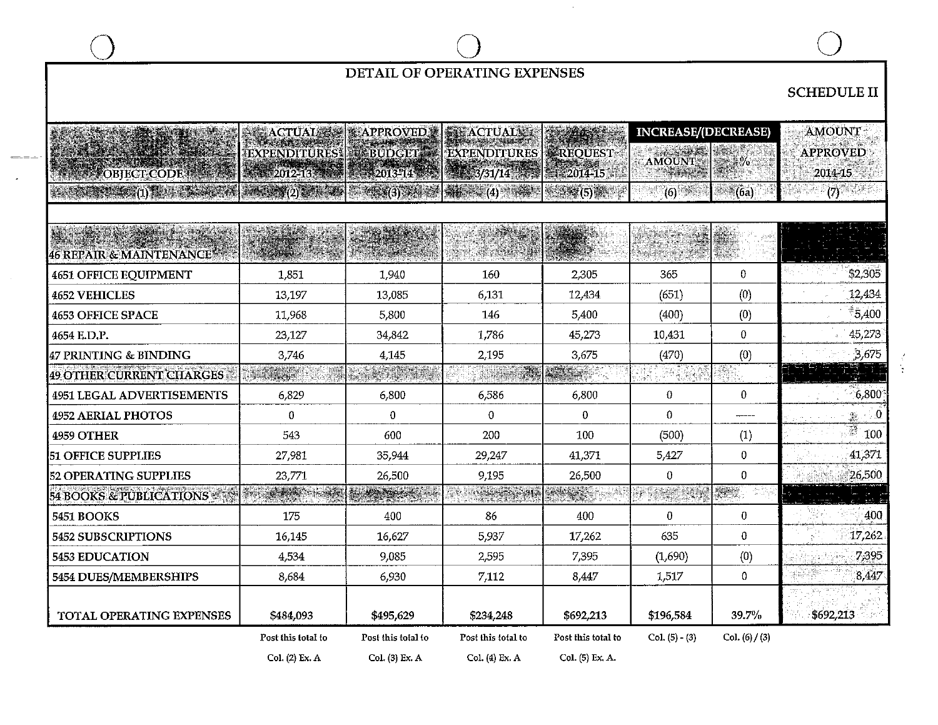|                                           |                                                                                                                                               |                           | DETAIL OF OPERATING EXPENSES                      |                    |                                         |                  |                            |
|-------------------------------------------|-----------------------------------------------------------------------------------------------------------------------------------------------|---------------------------|---------------------------------------------------|--------------------|-----------------------------------------|------------------|----------------------------|
|                                           |                                                                                                                                               |                           |                                                   |                    |                                         |                  | <b>SCHEDULE II</b>         |
|                                           |                                                                                                                                               |                           |                                                   |                    |                                         |                  |                            |
|                                           | <b>ACTUAL ASSESS</b>                                                                                                                          | <b>GAPPROVED</b>          | <b>SAN ACTUALLE</b>                               |                    | <b>INCREASE/(DECREASE)</b>              |                  | <b>AMOUNT</b>              |
|                                           | <b>EXPENDITURES!</b>                                                                                                                          | <b>E-BUDGET</b>           | <b>EXPENDITURES</b>                               | <b>EREQUEST</b>    | AMOUNT                                  | $\frac{m}{2}$    | <b>APPROVED</b>            |
| OBJECT CODE                               | 43 2012-13 13                                                                                                                                 | $-2013 - 14$              | 3/31/14                                           | 第2014-15           |                                         |                  | 2014-15                    |
| $2.0358 \times (1)$ , $1.0004$ , $1.0004$ | $\frac{1}{2}$ , $\frac{1}{2}$ , $\frac{1}{2}$ , $\frac{1}{2}$ , $\frac{1}{2}$ , $\frac{1}{2}$ , $\frac{1}{2}$ , $\frac{1}{2}$ , $\frac{1}{2}$ | $\mathbb{R}X(3)$ . We set | $\mathbb{R}^{n}$ and $(4)$ and $\mathbb{R}^{n}$ . | <b>建築琴(5)講師</b>    | (6)                                     | <b>. (6a)</b>    | <u>ැන සෙස</u>              |
|                                           |                                                                                                                                               |                           |                                                   |                    |                                         |                  |                            |
|                                           |                                                                                                                                               |                           |                                                   |                    |                                         |                  |                            |
| <b>46 REPAIR &amp; MAINTENANCE</b>        |                                                                                                                                               |                           |                                                   |                    |                                         |                  |                            |
| <b>4651 OFFICE EQUIPMENT</b>              | 1,851                                                                                                                                         | 1,940                     | 160                                               | 2,305              | 365                                     | 0                | \$2,305                    |
| <b>4652 VEHICLES</b>                      | 13,197                                                                                                                                        | 13,085                    | 6,131                                             | 12,434             | (651)                                   | (0)              | 12,434                     |
| <b>4653 OFFICE SPACE</b>                  | 11,968                                                                                                                                        | 5,800                     | 146                                               | 5,400              | (400)                                   | (0)              | $-5,400$                   |
| 4654 E.D.P.                               | 23,127                                                                                                                                        | 34,842                    | 1,786                                             | 45,273             | 10,431                                  | 0                | 45,273                     |
| 47 PRINTING & BINDING                     | 3,746                                                                                                                                         | 4,145                     | 2,195                                             | 3,675              | (470)                                   | (0)              | 3,675                      |
| <b>49 OTHER CURRENT CHARGES</b>           | etar i                                                                                                                                        |                           | THE T                                             |                    | W<br>$\mathcal{A}_2 \times \mathcal{I}$ | 454              |                            |
| <b>4951 LEGAL ADVERTISEMENTS</b>          | 6,829                                                                                                                                         | 6,800                     | 6,586                                             | 6,800              | 0                                       | 0                | 6,800                      |
| <b>4952 AERIAL PHOTOS</b>                 | 0                                                                                                                                             | $\mathbf{0}$              | $\theta$                                          | 0                  | $\theta$                                |                  | $\mathbb{R} \rightarrow 0$ |
| 4959 OTHER                                | 543                                                                                                                                           | 600                       | 200                                               | 100                | (500)                                   | (1)              | V,<br>100                  |
| <b>51 OFFICE SUPPLIES</b>                 | 27,981                                                                                                                                        | 35,944                    | 29,247                                            | 41,371             | 5,427                                   | 0                | 41,371                     |
| 52 OPERATING SUPPLIES                     | 23,771                                                                                                                                        | 26,500                    | 9,195                                             | 26,500             | $\theta$                                | 0                | 26,500                     |
| 54 BOOKS & PUBLICATIONS                   | <b>Laurence</b>                                                                                                                               | <b>TIGHTER</b>            | marsk                                             |                    | el español<br>Ating                     | engal            |                            |
| <b>5451 BOOKS</b>                         | 175                                                                                                                                           | 400                       | 86                                                | 400                | $\bf{0}$                                | 0                | 400                        |
| 5452 SUBSCRIPTIONS                        | 16,145                                                                                                                                        | 16,627                    | 5,937                                             | 17,262             | 635                                     | 0                | 17,262                     |
| <b>5453 EDUCATION</b>                     | 4,534                                                                                                                                         | 9,085                     | 2,595                                             | 7.395              | (1,690)                                 | (0)              | 7,395                      |
| 5454 DUES/MEMBERSHIPS                     | 8,684                                                                                                                                         | 6,930                     | 7,112                                             | 8.447              | 1,517                                   | 0                | 8.447                      |
|                                           |                                                                                                                                               |                           |                                                   |                    |                                         |                  |                            |
| TOTAL OPERATING EXPENSES                  | \$484,093                                                                                                                                     | \$495,629                 | \$234,248                                         | \$692,213          | \$196,584                               | 39.7%            | \$692,213                  |
|                                           | Post this total to                                                                                                                            | Post this total to        | Post this total to                                | Post this total to | $Col. (5) - (3)$                        | Col. $(6) / (3)$ |                            |
|                                           | Col. (2) Ex. A                                                                                                                                | Col. (3) Ex. A            | Col. (4) Ex. A                                    | Col. (5) Ex. A.    |                                         |                  |                            |

÷.

 $\sim$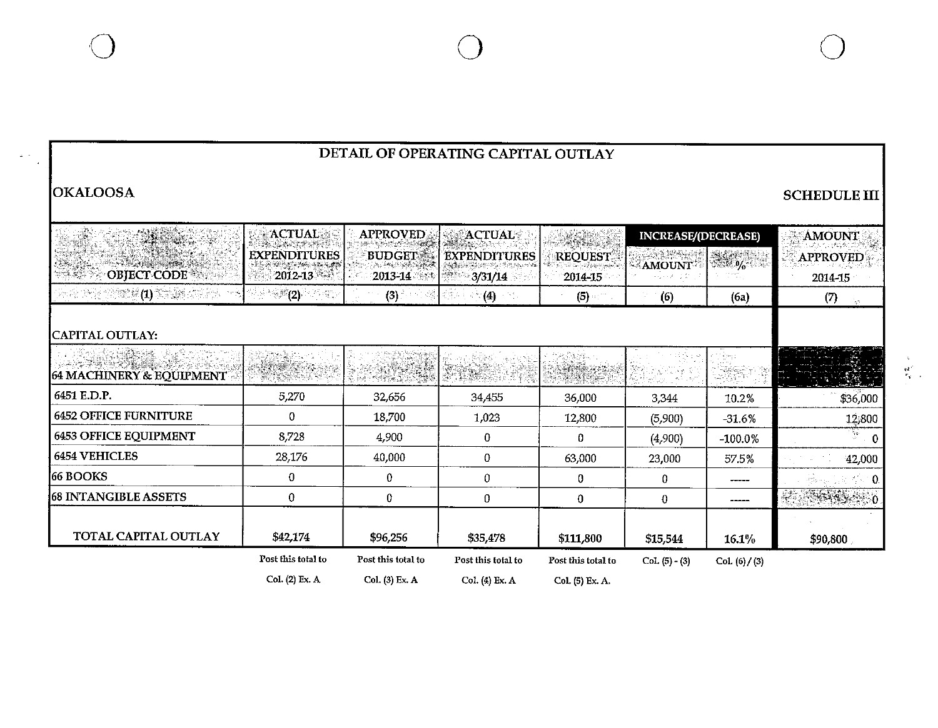$\frac{1}{2}$  ,  $\frac{1}{2}$ 

| DETAIL OF OPERATING CAPITAL OUTLAY                                                                                                                                                  |                                    |                               |                                |                                                 |                                                   |                                                                                                                                                                                                                                                                                                                     |                                                |  |  |  |
|-------------------------------------------------------------------------------------------------------------------------------------------------------------------------------------|------------------------------------|-------------------------------|--------------------------------|-------------------------------------------------|---------------------------------------------------|---------------------------------------------------------------------------------------------------------------------------------------------------------------------------------------------------------------------------------------------------------------------------------------------------------------------|------------------------------------------------|--|--|--|
| <b>OKALOOSA</b>                                                                                                                                                                     |                                    |                               |                                |                                                 |                                                   |                                                                                                                                                                                                                                                                                                                     | <b>SCHEDULE III</b>                            |  |  |  |
|                                                                                                                                                                                     | <b>ACTUAL</b><br>BERGEN SIG        | <b>APPROVED</b>               | <b>SEACTUAL</b>                |                                                 | <b>INCREASE/(DECREASE)</b>                        |                                                                                                                                                                                                                                                                                                                     | <b>AMOUNT</b>                                  |  |  |  |
| OBJECT CODE                                                                                                                                                                         | <b>EXPENDITURES</b><br>$2012 - 13$ | <b>BUDGETS</b><br>$2013 - 14$ | <b>EXPENDITURES</b><br>3/31/14 | <b>REQUEST</b><br>i de Estados de Ta<br>2014-15 | $-2.32 - 1.1$<br><b>AMOUNT!</b><br>التحي والمراوة | $\frac{1}{2}$ $\frac{1}{2}$ $\frac{1}{2}$ $\frac{1}{2}$ $\frac{1}{2}$ $\frac{1}{2}$ $\frac{1}{2}$ $\frac{1}{2}$ $\frac{1}{2}$ $\frac{1}{2}$ $\frac{1}{2}$ $\frac{1}{2}$ $\frac{1}{2}$ $\frac{1}{2}$ $\frac{1}{2}$ $\frac{1}{2}$ $\frac{1}{2}$ $\frac{1}{2}$ $\frac{1}{2}$ $\frac{1}{2}$ $\frac{1}{2}$ $\frac{1}{2}$ | <b>APPROVED</b><br>2014-15                     |  |  |  |
| $\mathbb{H}^{\mathcal{U}}\otimes\mathbb{M}^{\mathcal{U}}\otimes\mathbb{M}^{\mathcal{U}}(\mathbf{1})\otimes\mathbb{M}^{\mathcal{U}}\otimes\mathbb{M}^{\mathcal{U}}\otimes\mathbb{M}$ | ે (2)<br>일 셨어.                     | (3)                           | $\mathcal{A}(\mathbf{4})$      | $(5)$ and $\sim$                                | (6)                                               | (6a)                                                                                                                                                                                                                                                                                                                | (7)<br>Ъ.                                      |  |  |  |
| CAPITAL OUTLAY:                                                                                                                                                                     |                                    |                               |                                |                                                 |                                                   |                                                                                                                                                                                                                                                                                                                     |                                                |  |  |  |
| 64 MACHINERY & EQUIPMENT                                                                                                                                                            |                                    | SKRIGE                        |                                | Winesen                                         |                                                   |                                                                                                                                                                                                                                                                                                                     | $\mathbf{K} \in \mathbb{R}^{N_{\mathrm{max}}}$ |  |  |  |
| 6451 E.D.P.                                                                                                                                                                         | 5,270                              | 32,656                        | 34,455                         | 36,000                                          | 3,344                                             | 10.2%                                                                                                                                                                                                                                                                                                               | \$36,000                                       |  |  |  |
| <b>6452 OFFICE FURNITURE</b>                                                                                                                                                        | 0                                  | 18,700                        | 1,023                          | 12,800                                          | (5,900)                                           | $-31.6%$                                                                                                                                                                                                                                                                                                            | 12,800                                         |  |  |  |
| <b>6453 OFFICE EQUIPMENT</b>                                                                                                                                                        | 8,728                              | 4,900                         | $\bf{0}$                       | $\Omega$                                        | (4,900)                                           | $-100.0%$                                                                                                                                                                                                                                                                                                           | $\overline{a}$ 0                               |  |  |  |
| <b>6454 VEHICLES</b>                                                                                                                                                                | 28,176                             | 40,000                        | 0                              | 63,000                                          | 23,000                                            | 57.5%                                                                                                                                                                                                                                                                                                               | 42,000                                         |  |  |  |
| 66 BOOKS                                                                                                                                                                            | 0                                  | $\bf{0}$                      | 0                              | 0                                               | $\bf{0}$                                          |                                                                                                                                                                                                                                                                                                                     |                                                |  |  |  |
| <b>68 INTANGIBLE ASSETS</b>                                                                                                                                                         | $\bf{0}$                           | 0                             | 0                              | $\mathbf 0$                                     | $\bf{0}$                                          | -----                                                                                                                                                                                                                                                                                                               |                                                |  |  |  |
| TOTAL CAPITAL OUTLAY                                                                                                                                                                | \$42,174                           | \$96,256                      | \$35,478                       | \$111,800                                       | \$15,544                                          | 16.1%                                                                                                                                                                                                                                                                                                               | \$90,800                                       |  |  |  |
|                                                                                                                                                                                     | Post this total to                 | Post this total to            | Post this total to             | Post this total to                              | $Col. (5) - (3)$                                  | Col. (6) / (3)                                                                                                                                                                                                                                                                                                      |                                                |  |  |  |
|                                                                                                                                                                                     | Col. (2) Ex. A                     | Col. (3) Ex. A                | Col. (4) Ex. A                 | Col. (5) Ex. A.                                 |                                                   |                                                                                                                                                                                                                                                                                                                     |                                                |  |  |  |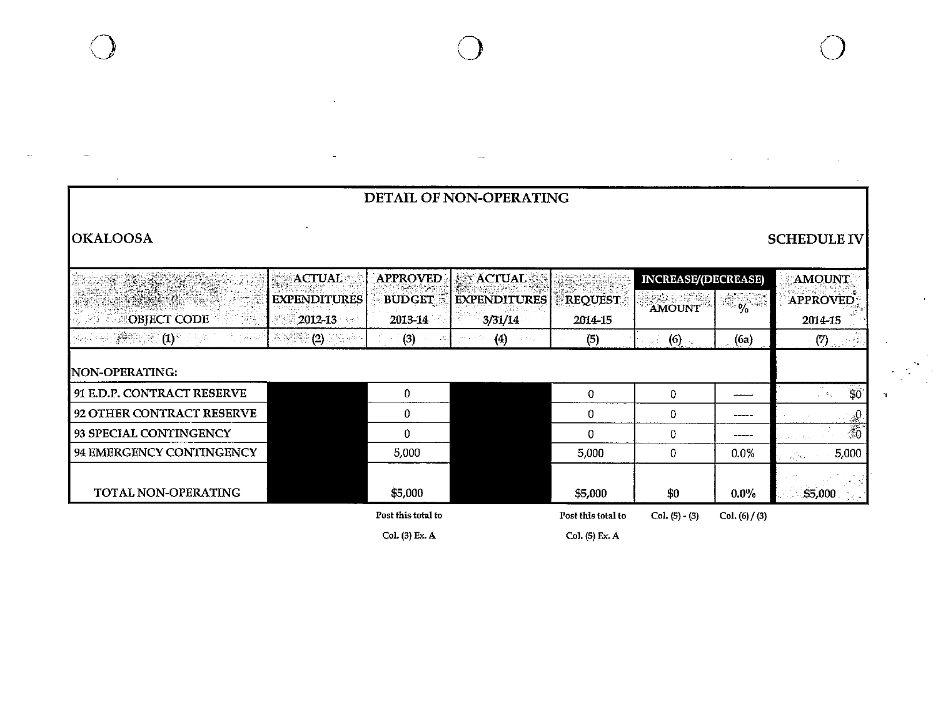| DETAIL OF NON-OPERATING                                         |                            |                    |                                            |                    |                            |                                            |                                                                                  |  |  |  |
|-----------------------------------------------------------------|----------------------------|--------------------|--------------------------------------------|--------------------|----------------------------|--------------------------------------------|----------------------------------------------------------------------------------|--|--|--|
| <b>OKALOOSA</b>                                                 |                            |                    |                                            |                    |                            |                                            | <b>SCHEDULE IV</b>                                                               |  |  |  |
|                                                                 | <b>ACTUAL</b>              | <b>APPROVED</b>    | <b>ACTUAL</b>                              |                    | <b>INCREASE/(DECREASE)</b> |                                            | <b>AMOUNT</b>                                                                    |  |  |  |
|                                                                 | <b>EXPENDITURES</b>        | <b>BUDGET</b>      | <b>EXPENDITURES</b>                        | <b>REQUEST</b>     | <b>AMOUNT</b>              | $4\frac{1}{2}$ $\frac{1}{2}$ $\frac{1}{2}$ | APPROVED                                                                         |  |  |  |
| OBJECT CODE<br>98.                                              | $2012 - 13$                | 2013-14            | 3/31/14                                    | 2014-15            |                            |                                            | 2014-15                                                                          |  |  |  |
| - 《樂學》 (1) * .<br>$\mathcal{P}_\mathcal{P}$ , and $\mathcal{Q}$ | - 6. <sup>5400</sup> (2) 3 | (3)                | (4)<br>$\sim$ 4 $\gamma$ $\sim$ $_{\odot}$ | (5)                | (6)<br>高血                  | (6a)                                       | $\left( 7\right)$ , $\left( 7\right)$                                            |  |  |  |
| <b>NON-OPERATING:</b>                                           |                            |                    |                                            |                    |                            |                                            |                                                                                  |  |  |  |
| 91 E.D.P. CONTRACT RESERVE                                      |                            | 0                  |                                            | 0                  | $\mathbf{0}$               | سيستعد                                     | $\mathfrak{B}$                                                                   |  |  |  |
| 92 OTHER CONTRACT RESERVE                                       |                            | 0                  |                                            | 0                  | 0                          |                                            |                                                                                  |  |  |  |
| 93 SPECIAL CONTINGENCY                                          |                            | $\mathbf{0}$       |                                            | 0                  | $\bf{0}$                   | -----                                      | $\frac{1}{20}$<br>$\mathcal{L}(\mathcal{E}_\infty) \subset \mathcal{E}_\infty$ . |  |  |  |
| 94 EMERGENCY CONTINGENCY                                        |                            | 5,000              |                                            | 5,000              | 0                          | 0.0%                                       | 5,000<br>$\sim 10^{11}$ kpc                                                      |  |  |  |
| TOTAL NON-OPERATING                                             |                            | \$5,000            |                                            | \$5,000            | \$0                        | $0.0\%$                                    | o S<br>\$5,000<br>i Carati<br>1969 -                                             |  |  |  |
|                                                                 |                            | Post this total to |                                            | Post this total to | Col. $(5) - (3)$           | Col. $(6) / (3)$                           |                                                                                  |  |  |  |
|                                                                 |                            | Col. (3) Ex. A     |                                            | Col. (5) Ex. A     |                            |                                            |                                                                                  |  |  |  |

h,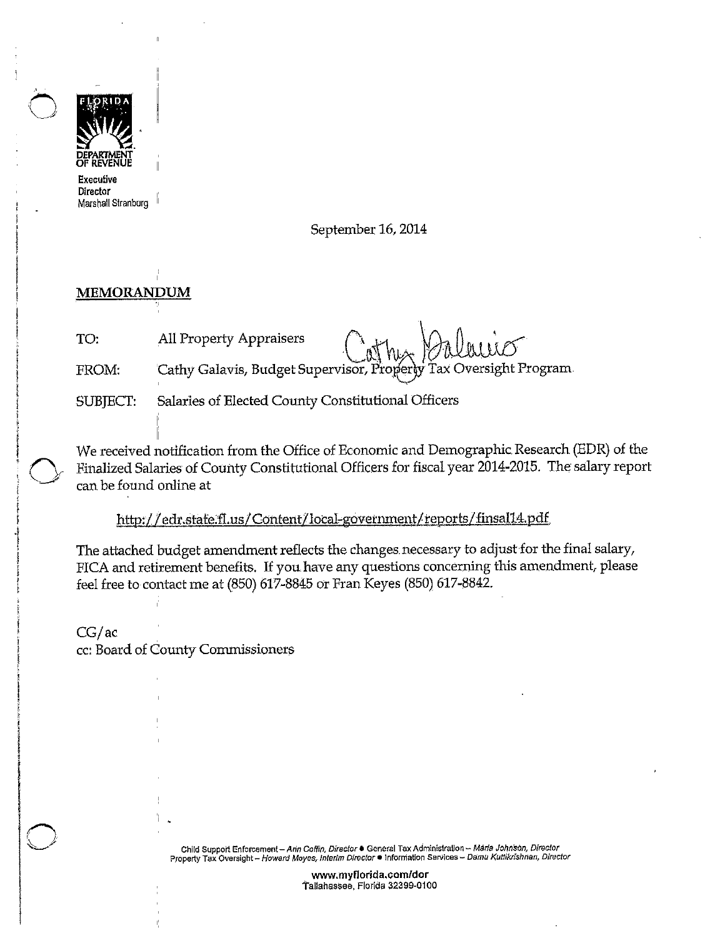

Director Marshall Stranbarg

September 16, 2014

## **MEMORANDUM**

 $\bigcirc$ 

 $\bigcirc$ 

MEMORANDUM<br>TO: All Property Appraisers Cathy Calculation

FROM: Cathy Galavis, Budget Supervisor, Properly Tax Oversight Program

SUBJECT: Salaries of Elected County Constitutional Officers

We received notification from the Office of Economic and Demographic Research (EDR) of the Finalized Salaries of County Constitutional Officers for fiscal year 2014-2015. The salary report can be found online at

http://edr.stafe.fl.us/Content/local-government/reports/finsal14.pdf

The attached budget amendment reflects the changes necessary to adjust for the final salary, FICA and retirement benefits. If you have any questions concerning this amendment, please feel free to contact me at (850) 617-8845 or Fran Keyes (850) 617-8842.

CG/ac cc: Board of County Commissioners

> **Child Support Enforcement- An'n Coffin, Director• General Tax AdministraUon- Maria Johnson, Director Property Tax Oversight- Howard Moyes,. Interim Director• lnforniation Services - oa·mu Kuttlkrfshnan, Director**

> > **www.myflorida.com/dor**  tallahassee, Florida 32399-0100